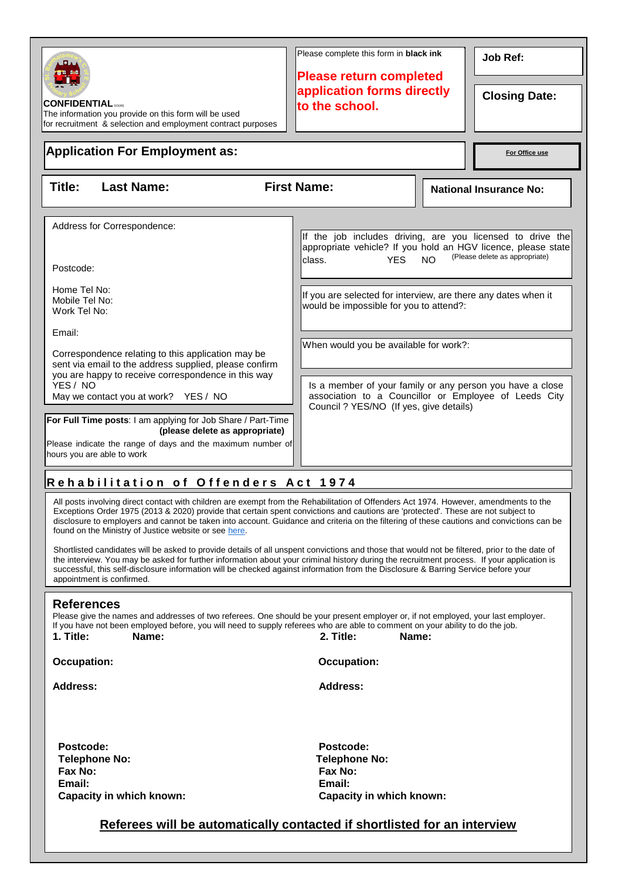| <b>CONFIDENTIAL</b><br>The information you provide on this form will be used<br>for recruitment & selection and employment contract purposes                                                                                                                                                                                                                                                                                                                                                                                                                                                                                                                         |                                                                                                                                                                                                                                                                                                                                                                                                                                           | Please complete this form in <b>black ink</b><br><b>Please return completed</b><br>application forms directly<br>to the school. |                                                                                                                                                                                                                                                                                                                                                                                                                                                                                                    | <b>Job Ref:</b><br><b>Closing Date:</b> |  |  |  |  |
|----------------------------------------------------------------------------------------------------------------------------------------------------------------------------------------------------------------------------------------------------------------------------------------------------------------------------------------------------------------------------------------------------------------------------------------------------------------------------------------------------------------------------------------------------------------------------------------------------------------------------------------------------------------------|-------------------------------------------------------------------------------------------------------------------------------------------------------------------------------------------------------------------------------------------------------------------------------------------------------------------------------------------------------------------------------------------------------------------------------------------|---------------------------------------------------------------------------------------------------------------------------------|----------------------------------------------------------------------------------------------------------------------------------------------------------------------------------------------------------------------------------------------------------------------------------------------------------------------------------------------------------------------------------------------------------------------------------------------------------------------------------------------------|-----------------------------------------|--|--|--|--|
| <b>Application For Employment as:</b>                                                                                                                                                                                                                                                                                                                                                                                                                                                                                                                                                                                                                                | For Office use                                                                                                                                                                                                                                                                                                                                                                                                                            |                                                                                                                                 |                                                                                                                                                                                                                                                                                                                                                                                                                                                                                                    |                                         |  |  |  |  |
| Title:                                                                                                                                                                                                                                                                                                                                                                                                                                                                                                                                                                                                                                                               | <b>Last Name:</b>                                                                                                                                                                                                                                                                                                                                                                                                                         | <b>First Name:</b>                                                                                                              | <b>National Insurance No:</b>                                                                                                                                                                                                                                                                                                                                                                                                                                                                      |                                         |  |  |  |  |
| Postcode:<br>Home Tel No:<br>Mobile Tel No:<br>Work Tel No:<br>Email:<br>YES / NO                                                                                                                                                                                                                                                                                                                                                                                                                                                                                                                                                                                    | Address for Correspondence:<br>Correspondence relating to this application may be<br>sent via email to the address supplied, please confirm<br>you are happy to receive correspondence in this way<br>May we contact you at work? YES / NO<br>For Full Time posts: I am applying for Job Share / Part-Time<br>(please delete as appropriate)<br>Please indicate the range of days and the maximum number of<br>hours you are able to work | <b>YES</b><br>class.                                                                                                            | If the job includes driving, are you licensed to drive the<br>appropriate vehicle? If you hold an HGV licence, please state<br>(Please delete as appropriate)<br><b>NO</b><br>If you are selected for interview, are there any dates when it<br>would be impossible for you to attend?:<br>When would you be available for work?:<br>Is a member of your family or any person you have a close<br>association to a Councillor or Employee of Leeds City<br>Council ? YES/NO (If yes, give details) |                                         |  |  |  |  |
| Rehabilitation of Offenders Act 1974<br>All posts involving direct contact with children are exempt from the Rehabilitation of Offenders Act 1974. However, amendments to the<br>Exceptions Order 1975 (2013 & 2020) provide that certain spent convictions and cautions are 'protected'. These are not subject to                                                                                                                                                                                                                                                                                                                                                   |                                                                                                                                                                                                                                                                                                                                                                                                                                           |                                                                                                                                 |                                                                                                                                                                                                                                                                                                                                                                                                                                                                                                    |                                         |  |  |  |  |
| disclosure to employers and cannot be taken into account. Guidance and criteria on the filtering of these cautions and convictions can be<br>found on the Ministry of Justice website or see here.<br>Shortlisted candidates will be asked to provide details of all unspent convictions and those that would not be filtered, prior to the date of<br>the interview. You may be asked for further information about your criminal history during the recruitment process. If your application is<br>successful, this self-disclosure information will be checked against information from the Disclosure & Barring Service before your<br>appointment is confirmed. |                                                                                                                                                                                                                                                                                                                                                                                                                                           |                                                                                                                                 |                                                                                                                                                                                                                                                                                                                                                                                                                                                                                                    |                                         |  |  |  |  |
| <b>References</b><br>Please give the names and addresses of two referees. One should be your present employer or, if not employed, your last employer.<br>If you have not been employed before, you will need to supply referees who are able to comment on your ability to do the job.<br>1. Title:<br>2. Title:<br>Name:<br>Name:                                                                                                                                                                                                                                                                                                                                  |                                                                                                                                                                                                                                                                                                                                                                                                                                           |                                                                                                                                 |                                                                                                                                                                                                                                                                                                                                                                                                                                                                                                    |                                         |  |  |  |  |
| <b>Occupation:</b>                                                                                                                                                                                                                                                                                                                                                                                                                                                                                                                                                                                                                                                   |                                                                                                                                                                                                                                                                                                                                                                                                                                           | <b>Occupation:</b>                                                                                                              |                                                                                                                                                                                                                                                                                                                                                                                                                                                                                                    |                                         |  |  |  |  |
| <b>Address:</b>                                                                                                                                                                                                                                                                                                                                                                                                                                                                                                                                                                                                                                                      |                                                                                                                                                                                                                                                                                                                                                                                                                                           | <b>Address:</b>                                                                                                                 |                                                                                                                                                                                                                                                                                                                                                                                                                                                                                                    |                                         |  |  |  |  |

**Postcode: Postcode: Telephone No: Telephone No: Fax No: Fax No: Capacity in which known: Capacity in which known:**

**Email: Email:**

# **Referees will be automatically contacted if shortlisted for an interview**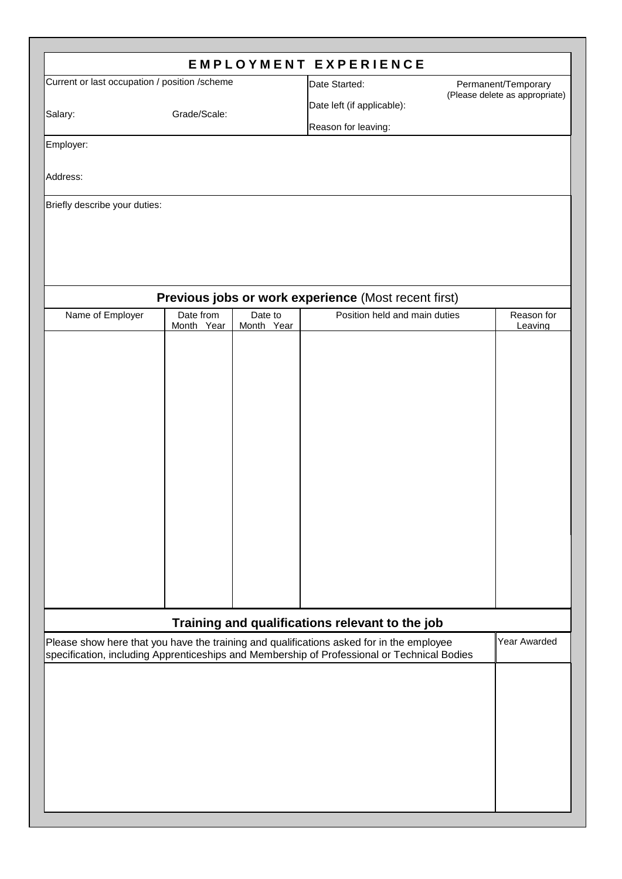|                                                                                                                                                 |              |            | <b>EMPLOYMENT EXPERIENCE</b>                                                                                                                                                            |  |                                |  |  |  |
|-------------------------------------------------------------------------------------------------------------------------------------------------|--------------|------------|-----------------------------------------------------------------------------------------------------------------------------------------------------------------------------------------|--|--------------------------------|--|--|--|
| Current or last occupation / position /scheme                                                                                                   |              |            | Date Started:                                                                                                                                                                           |  | Permanent/Temporary            |  |  |  |
|                                                                                                                                                 |              |            | Date left (if applicable):                                                                                                                                                              |  | (Please delete as appropriate) |  |  |  |
| Salary:                                                                                                                                         | Grade/Scale: |            | Reason for leaving:                                                                                                                                                                     |  |                                |  |  |  |
| Employer:                                                                                                                                       |              |            |                                                                                                                                                                                         |  |                                |  |  |  |
|                                                                                                                                                 |              |            |                                                                                                                                                                                         |  |                                |  |  |  |
| Address:                                                                                                                                        |              |            |                                                                                                                                                                                         |  |                                |  |  |  |
| Briefly describe your duties:                                                                                                                   |              |            |                                                                                                                                                                                         |  |                                |  |  |  |
|                                                                                                                                                 |              |            |                                                                                                                                                                                         |  |                                |  |  |  |
|                                                                                                                                                 |              |            |                                                                                                                                                                                         |  |                                |  |  |  |
|                                                                                                                                                 |              |            |                                                                                                                                                                                         |  |                                |  |  |  |
|                                                                                                                                                 |              |            |                                                                                                                                                                                         |  |                                |  |  |  |
| Previous jobs or work experience (Most recent first)<br>Date from<br>Date to<br>Position held and main duties<br>Name of Employer<br>Reason for |              |            |                                                                                                                                                                                         |  |                                |  |  |  |
|                                                                                                                                                 | Month Year   | Month Year |                                                                                                                                                                                         |  | Leaving                        |  |  |  |
|                                                                                                                                                 |              |            |                                                                                                                                                                                         |  |                                |  |  |  |
|                                                                                                                                                 |              |            |                                                                                                                                                                                         |  |                                |  |  |  |
|                                                                                                                                                 |              |            |                                                                                                                                                                                         |  |                                |  |  |  |
|                                                                                                                                                 |              |            |                                                                                                                                                                                         |  |                                |  |  |  |
|                                                                                                                                                 |              |            |                                                                                                                                                                                         |  |                                |  |  |  |
|                                                                                                                                                 |              |            |                                                                                                                                                                                         |  |                                |  |  |  |
|                                                                                                                                                 |              |            |                                                                                                                                                                                         |  |                                |  |  |  |
|                                                                                                                                                 |              |            |                                                                                                                                                                                         |  |                                |  |  |  |
|                                                                                                                                                 |              |            |                                                                                                                                                                                         |  |                                |  |  |  |
|                                                                                                                                                 |              |            |                                                                                                                                                                                         |  |                                |  |  |  |
|                                                                                                                                                 |              |            |                                                                                                                                                                                         |  |                                |  |  |  |
|                                                                                                                                                 |              |            |                                                                                                                                                                                         |  |                                |  |  |  |
|                                                                                                                                                 |              |            |                                                                                                                                                                                         |  |                                |  |  |  |
|                                                                                                                                                 |              |            |                                                                                                                                                                                         |  |                                |  |  |  |
|                                                                                                                                                 |              |            | Training and qualifications relevant to the job                                                                                                                                         |  |                                |  |  |  |
|                                                                                                                                                 |              |            | Please show here that you have the training and qualifications asked for in the employee<br>specification, including Apprenticeships and Membership of Professional or Technical Bodies |  | Year Awarded                   |  |  |  |
|                                                                                                                                                 |              |            |                                                                                                                                                                                         |  |                                |  |  |  |
|                                                                                                                                                 |              |            |                                                                                                                                                                                         |  |                                |  |  |  |
|                                                                                                                                                 |              |            |                                                                                                                                                                                         |  |                                |  |  |  |
|                                                                                                                                                 |              |            |                                                                                                                                                                                         |  |                                |  |  |  |
|                                                                                                                                                 |              |            |                                                                                                                                                                                         |  |                                |  |  |  |
|                                                                                                                                                 |              |            |                                                                                                                                                                                         |  |                                |  |  |  |
|                                                                                                                                                 |              |            |                                                                                                                                                                                         |  |                                |  |  |  |
|                                                                                                                                                 |              |            |                                                                                                                                                                                         |  |                                |  |  |  |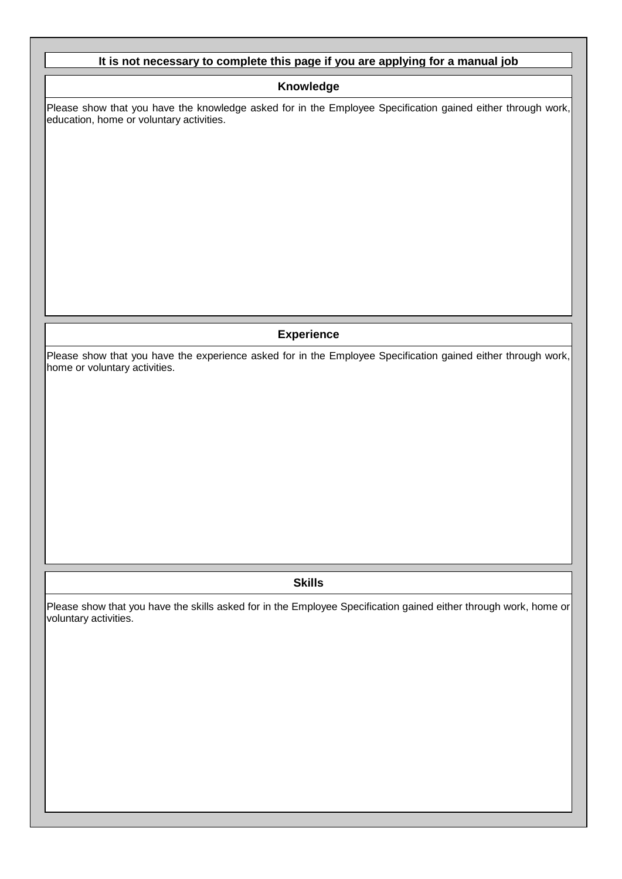## **It is not necessary to complete this page if you are applying for a manual job**

### **Knowledge**

Please show that you have the knowledge asked for in the Employee Specification gained either through work, education, home or voluntary activities.

### **Experience**

Please show that you have the experience asked for in the Employee Specification gained either through work, home or voluntary activities.

### **Skills**

Please show that you have the skills asked for in the Employee Specification gained either through work, home or voluntary activities.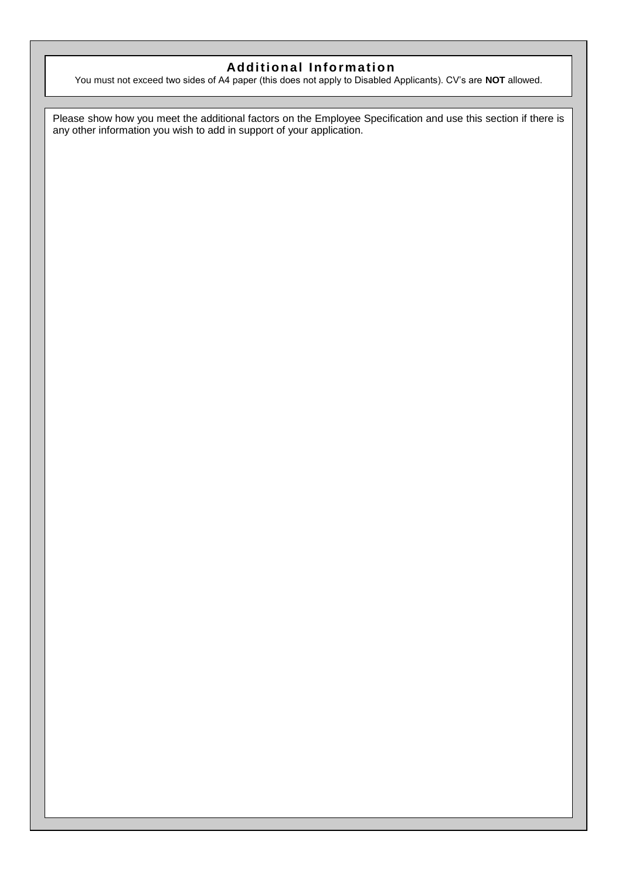## **Additional Information**

You must not exceed two sides of A4 paper (this does not apply to Disabled Applicants). CV's are **NOT** allowed.

Please show how you meet the additional factors on the Employee Specification and use this section if there is any other information you wish to add in support of your application.